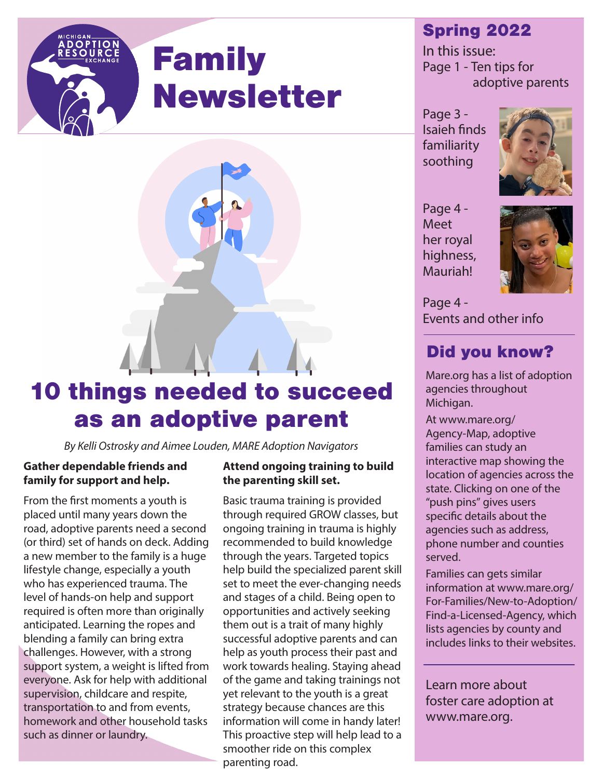# Family Newsletter



# 10 things needed to succeed as an adoptive parent

*By Kelli Ostrosky and Aimee Louden, MARE Adoption Navigators*

#### **Gather dependable friends and family for support and help.**

From the first moments a youth is placed until many years down the road, adoptive parents need a second (or third) set of hands on deck. Adding a new member to the family is a huge lifestyle change, especially a youth who has experienced trauma. The level of hands-on help and support required is often more than originally anticipated. Learning the ropes and blending a family can bring extra challenges. However, with a strong support system, a weight is lifted from everyone. Ask for help with additional supervision, childcare and respite, transportation to and from events, homework and other household tasks such as dinner or laundry.

#### **Attend ongoing training to build the parenting skill set.**

Basic trauma training is provided through required GROW classes, but ongoing training in trauma is highly recommended to build knowledge through the years. Targeted topics help build the specialized parent skill set to meet the ever-changing needs and stages of a child. Being open to opportunities and actively seeking them out is a trait of many highly successful adoptive parents and can help as youth process their past and work towards healing. Staying ahead of the game and taking trainings not yet relevant to the youth is a great strategy because chances are this information will come in handy later! This proactive step will help lead to a smoother ride on this complex parenting road.

## Spring 2022

In this issue: Page 1 - Ten tips for adoptive parents

Page 3 - Isaieh finds familiarity soothing



Page 4 - Meet her royal highness, Mauriah!



Page 4 - Events and other info

# Did you know?

Mare.org has a list of adoption agencies throughout Michigan.

At www.mare.org/ Agency-Map, adoptive families can study an interactive map showing the location of agencies across the state. Clicking on one of the "push pins" gives users specific details about the agencies such as address, phone number and counties served.

Families can gets similar information at www.mare.org/ For-Families/New-to-Adoption/ Find-a-Licensed-Agency, which lists agencies by county and includes links to their websites.

Learn more about foster care adoption at www.mare.org.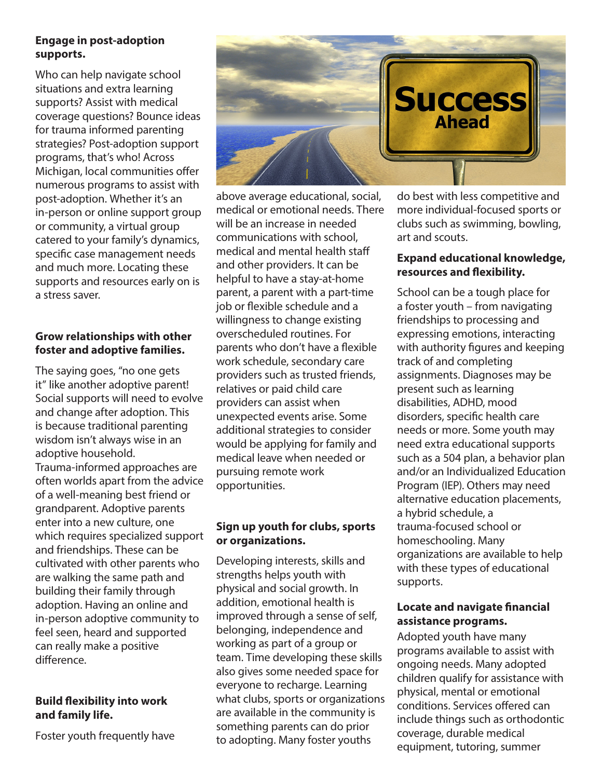#### **Engage in post-adoption supports.**

Who can help navigate school situations and extra learning supports? Assist with medical coverage questions? Bounce ideas for trauma informed parenting strategies? Post-adoption support programs, that's who! Across Michigan, local communities offer numerous programs to assist with post-adoption. Whether it's an in-person or online support group or community, a virtual group catered to your family's dynamics, specific case management needs and much more. Locating these supports and resources early on is a stress saver.

#### **Grow relationships with other foster and adoptive families.**

The saying goes, "no one gets it" like another adoptive parent! Social supports will need to evolve and change after adoption. This is because traditional parenting wisdom isn't always wise in an adoptive household. Trauma-informed approaches are often worlds apart from the advice of a well-meaning best friend or grandparent. Adoptive parents enter into a new culture, one which requires specialized support and friendships. These can be cultivated with other parents who are walking the same path and building their family through adoption. Having an online and in-person adoptive community to feel seen, heard and supported can really make a positive difference.

#### **Build flexibility into work and family life.**

Foster youth frequently have



above average educational, social, medical or emotional needs. There will be an increase in needed communications with school, medical and mental health staff and other providers. It can be helpful to have a stay-at-home parent, a parent with a part-time job or flexible schedule and a willingness to change existing overscheduled routines. For parents who don't have a flexible work schedule, secondary care providers such as trusted friends, relatives or paid child care providers can assist when unexpected events arise. Some additional strategies to consider would be applying for family and medical leave when needed or pursuing remote work opportunities.

#### **Sign up youth for clubs, sports or organizations.**

Developing interests, skills and strengths helps youth with physical and social growth. In addition, emotional health is improved through a sense of self, belonging, independence and working as part of a group or team. Time developing these skills also gives some needed space for everyone to recharge. Learning what clubs, sports or organizations are available in the community is something parents can do prior to adopting. Many foster youths

do best with less competitive and more individual-focused sports or clubs such as swimming, bowling, art and scouts.

#### **Expand educational knowledge, resources and flexibility.**

School can be a tough place for a foster youth – from navigating friendships to processing and expressing emotions, interacting with authority figures and keeping track of and completing assignments. Diagnoses may be present such as learning disabilities, ADHD, mood disorders, specific health care needs or more. Some youth may need extra educational supports such as a 504 plan, a behavior plan and/or an Individualized Education Program (IEP). Others may need alternative education placements, a hybrid schedule, a trauma-focused school or homeschooling. Many organizations are available to help with these types of educational supports.

#### **Locate and navigate financial assistance programs.**

Adopted youth have many programs available to assist with ongoing needs. Many adopted children qualify for assistance with physical, mental or emotional conditions. Services offered can include things such as orthodontic coverage, durable medical equipment, tutoring, summer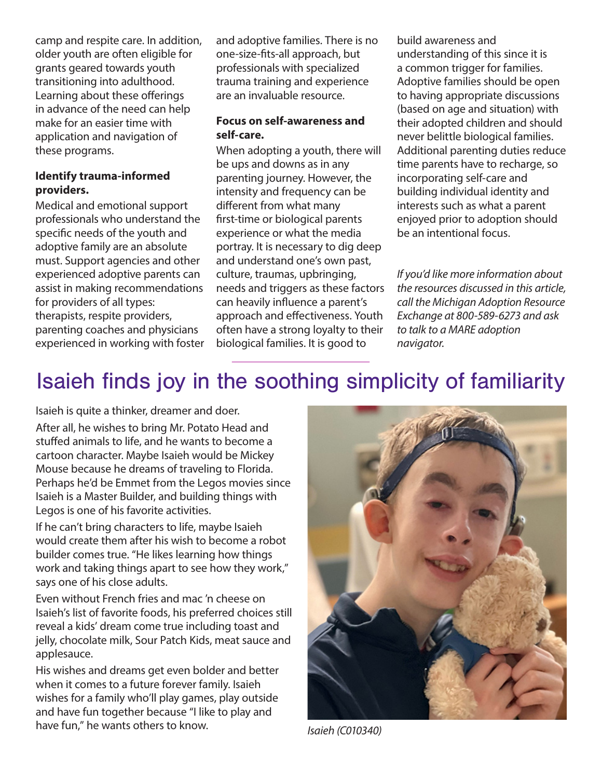camp and respite care. In addition, older youth are often eligible for grants geared towards youth transitioning into adulthood. Learning about these offerings in advance of the need can help make for an easier time with application and navigation of these programs.

#### **Identify trauma-informed providers.**

Medical and emotional support professionals who understand the specific needs of the youth and adoptive family are an absolute must. Support agencies and other experienced adoptive parents can assist in making recommendations for providers of all types: therapists, respite providers, parenting coaches and physicians experienced in working with foster and adoptive families. There is no one-size-fits-all approach, but professionals with specialized trauma training and experience are an invaluable resource.

#### **Focus on self-awareness and self-care.**

When adopting a youth, there will be ups and downs as in any parenting journey. However, the intensity and frequency can be different from what many first-time or biological parents experience or what the media portray. It is necessary to dig deep and understand one's own past, culture, traumas, upbringing, needs and triggers as these factors can heavily influence a parent's approach and effectiveness. Youth often have a strong loyalty to their biological families. It is good to

build awareness and understanding of this since it is a common trigger for families. Adoptive families should be open to having appropriate discussions (based on age and situation) with their adopted children and should never belittle biological families. Additional parenting duties reduce time parents have to recharge, so incorporating self-care and building individual identity and interests such as what a parent enjoyed prior to adoption should be an intentional focus.

*If you'd like more information about the resources discussed in this article, call the Michigan Adoption Resource Exchange at 800-589-6273 and ask to talk to a MARE adoption navigator.*

# Isaieh finds joy in the soothing simplicity of familiarity

Isaieh is quite a thinker, dreamer and doer.

After all, he wishes to bring Mr. Potato Head and stuffed animals to life, and he wants to become a cartoon character. Maybe Isaieh would be Mickey Mouse because he dreams of traveling to Florida. Perhaps he'd be Emmet from the Legos movies since Isaieh is a Master Builder, and building things with Legos is one of his favorite activities.

If he can't bring characters to life, maybe Isaieh would create them after his wish to become a robot builder comes true. "He likes learning how things work and taking things apart to see how they work," says one of his close adults.

Even without French fries and mac 'n cheese on Isaieh's list of favorite foods, his preferred choices still reveal a kids' dream come true including toast and jelly, chocolate milk, Sour Patch Kids, meat sauce and applesauce.

His wishes and dreams get even bolder and better when it comes to a future forever family. Isaieh wishes for a family who'll play games, play outside and have fun together because "I like to play and have fun," he wants others to know.



*Isaieh (C010340)*